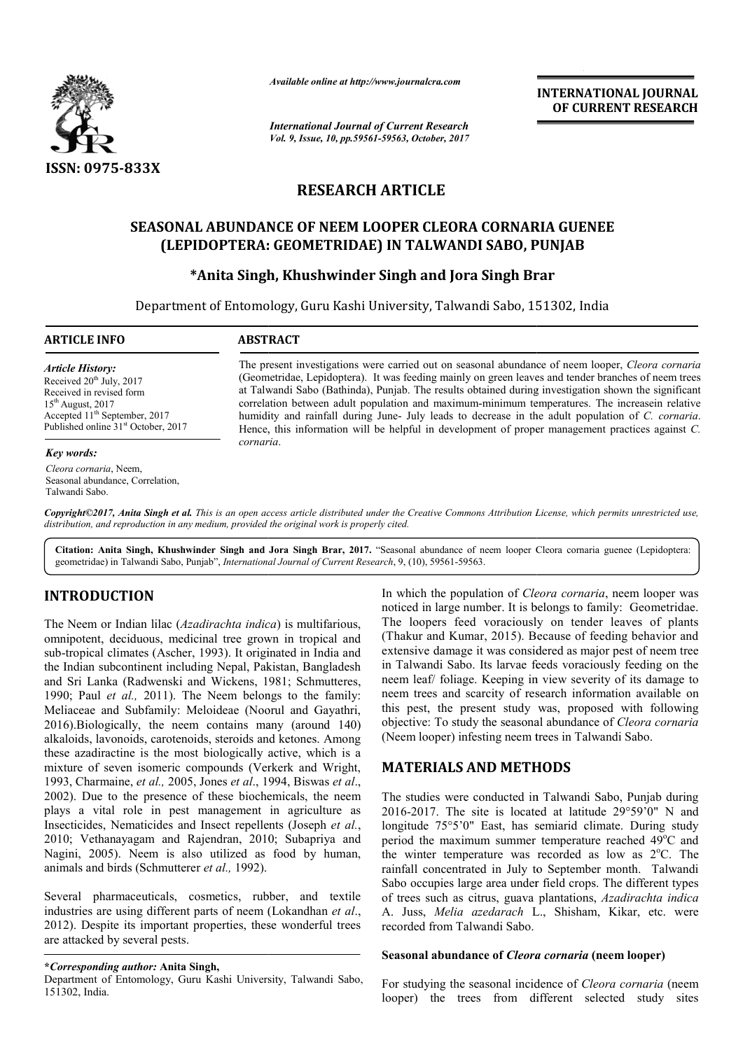

*Available online at http://www.journalcra.com*

*International Journal of Current Research Vol. 9, Issue, 10, pp.59561-59563, October, 2017* **INTERNATIONAL JOURNAL OF CURRENT RESEARCH** 

# **RESEARCH ARTICLE**

## **SEASONAL ABUNDANCE OF NEEM LOOPER CLEORA CORNARIA GUENEE (LEPIDOPTERA: GEOMETRIDAE) IN TALWANDI SABO, PUNJAB PUNJAB**

## **\*Anita Singh, Khushwinder Singh Anita and Jora Singh Brar**

Department of Entomology, Guru Kashi University, Talwandi Sabo, 151302, India

**ARTICLE INFO ABSTRACT**

*Article History:* Received  $20^{th}$  July,  $2017$ Received in revised form  $15<sup>th</sup>$  August, 2017 Accepted 11<sup>th</sup> September, 2017 Published online 31<sup>st</sup> October, 2017

#### *Key words:*

*Cleora cornaria*, Neem, Seasonal abundance, Correlation, Talwandi Sabo.

The present investigations were carried out on seasonal abundance of neem looper, *Cleora cornaria* (Geometridae, Lepidoptera). It was feeding mainly on green leaves and tender branches of neem trees (Geometridae, Lepidoptera). It was feeding mainly on green leaves and tender branches of neem trees at Talwandi Sabo (Bathinda), Punjab. The results obtained during investigation shown the significant correlation between adult population and maximum-minimum temperatures. The increasein relative humidity and rainfall during June- July leads to decrease in the adult population of *C. cornaria*. Hence, this information will be helpful in development of proper management practices against *C*. *cornaria* .

Copyright©2017, Anita Singh et al. This is an open access article distributed under the Creative Commons Attribution License, which permits unrestricted use, *distribution, and reproduction in any medium, provided the original work is properly cited.*

Citation: Anita Singh, Khushwinder Singh and Jora Singh Brar, 2017. "Seasonal abundance of neem looper Cleora cornaria guenee (Lepidoptera: geometridae) in Talwandi Sabo, Punjab", *International Journal of Current Research* , 9, (10), 59561-59563.

# **INTRODUCTION**

The Neem or Indian lilac (*Azadirachta indica* ) is multifarious, omnipotent, deciduous, medicinal tree grown in tropical and sub-tropical climates (Ascher, 1993). It originated in India and the Indian subcontinent including Nepal, Pakistan, Bangladesh and Sri Lanka (Radwenski and Wickens, 1981; Schmutteres, 1990; Paul *et al.,* 2011). The Neem belongs to the family: Meliaceae and Subfamily: Meloideae (Noorul and Gayathri, 2016).Biologically, the neem contains many (around 140) alkaloids, lavonoids, carotenoids, steroids and ketones. Among these azadiractine is the most biologically active, which is a mixture of seven isomeric compounds (Verkerk and Wright, 1993, Charmaine, *et al.,* 2005, Jones *et al*., 1994, Biswas *et al*., 2002). Due to the presence of these biochemical biochemicals, the neem plays a vital role in pest management in agriculture as Insecticides, Nematicides and Insect repellents (Joseph et al., 2010; Vethanayagam and Rajendran, 2010; Subapriya and Nagini, 2005). Neem is also utilized as food by human, animals and birds (Schmutterer *et al.,* 1992).

Several pharmaceuticals, cosmetics, rubber, and textile industries are using different parts of neem (Lokandhan *et al*., 2012). Despite its important properties, these wonderful trees are attacked by several pests.

**\****Corresponding author:* **Anita Singh,**

Department of Entomology, Guru Kashi University, Talwandi Sabo, 151302, India.

In which the population of *Cleora cornaria* , neem looper was noticed in large number. It is belongs to family: Geometridae. The loopers feed voraciously on tender leaves of plants (Thakur and Kumar, 2015). Because of feeding behavior and extensive damage it was considered as major pest of neem tree in Talwandi Sabo. Its larvae feeds voraciously feeding on the neem leaf/ foliage. Keeping in view severity of its damage to neem trees and scarcity of research information available on this pest, the present study was, proposed with following objective: To study the seasonal abundance of *Cleora cornaria* (Neem looper) infesting neem trees in Talwandi Sabo. **EXECUTE THE SECTIONAL JOURNAL SCALE ASSAURE AND THE SECTION CONTROL CONTROL CONTROL CONTROL CONTROL CONTROL CONTROL CONTROL (CONTROL CONTROL CONTROL CONTROL CONTROL (SECTION AND SABO, PUNJAB Singh and Jora Singh Brar (Ne** 

## **MATERIALS AND METHODS METHODS**

The studies were conducted in Talwandi Sabo, Punjab during 2016-2017. The site is located at latitude 29°59'0" N and longitude 75°5'0" East, has semiarid climate. During study period the maximum summer temperature reached 49 C and the winter temperature was recorded as low as 2°C. The rainfall concentrated in July to September month. Talwandi Sabo occupies large area under field crops. The different types Sabo occupies large area under field crops. The different types of trees such as citrus, guava plantations, Azadirachta indica A. Juss, Melia azedarach L., Shisham, Kikar, etc. were recorded from Talwandi Sabo. were conducted in Talwandi Sabo, Punjab<br>The site is located at latitude  $29^{\circ}59'0''$ <br> $5^{\circ}5'0''$  East, has semiarid climate. During<br>maximum summer temperature reached  $49^{\circ}$ 

#### **Seasonal abundance of** *Cleora cornaria* **(neem looper)**

For studying the seasonal incidence of *Cleora cornaria* (neem looper) the trees from different selected study sites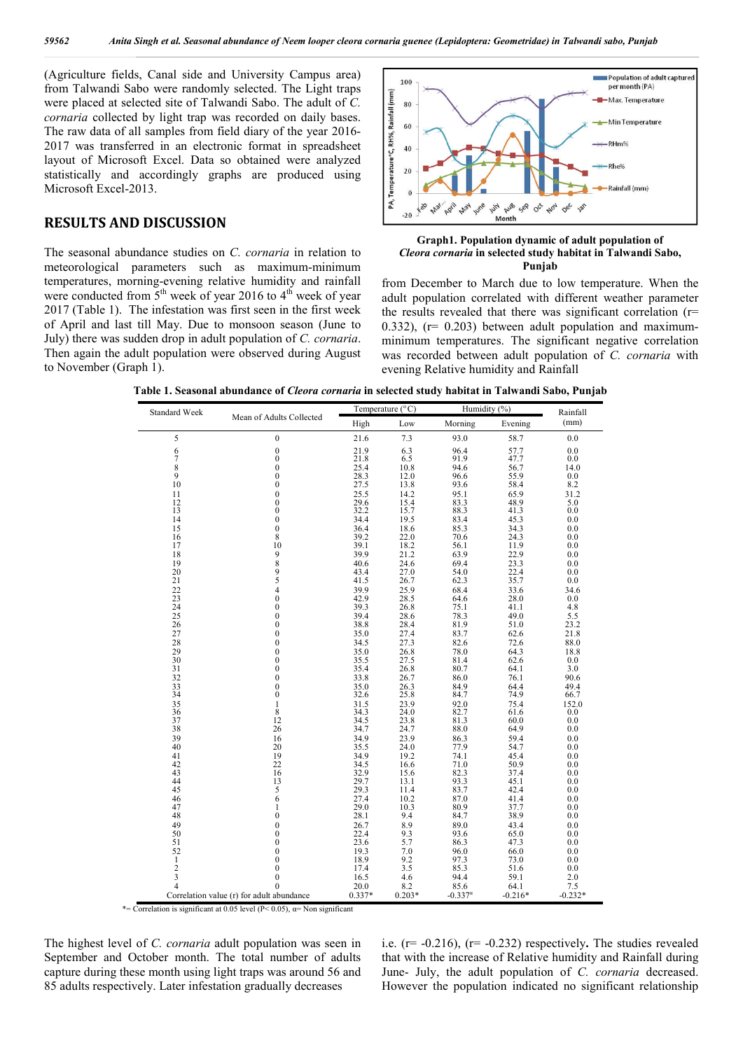(Agriculture fields, Canal side and University Campus area) from Talwandi Sabo were randomly selected. The Light traps were placed at selected site of Talwandi Sabo. The adult of *C. cornaria* collected by light trap was recorded on daily bases. The raw data of all samples from field diary of the year 2016- 2017 was transferred in an electronic format in spreadsheet layout of Microsoft Excel. Data so obtained were analyzed statistically and accordingly graphs are produced using Microsoft Excel-2013.

### **RESULTS AND DISCUSSION**

The seasonal abundance studies on *C. cornaria* in relation to meteorological parameters such as maximum-minimum temperatures, morning-evening relative humidity and rainfall were conducted from  $5<sup>th</sup>$  week of year 2016 to 4<sup>th</sup> week of year 2017 (Table 1). The infestation was first seen in the first week of April and last till May. Due to monsoon season (June to July) there was sudden drop in adult population of *C. cornaria*. Then again the adult population were observed during August to November (Graph 1).



#### **Graph1. Population dynamic of adult population of**  *Cleora cornaria* **in selected study habitat in Talwandi Sabo, Punjab**

from December to March due to low temperature. When the adult population correlated with different weather parameter the results revealed that there was significant correlation (r= 0.332),  $(r= 0.203)$  between adult population and maximumminimum temperatures. The significant negative correlation was recorded between adult population of *C. cornaria* with evening Relative humidity and Rainfall

| Standard Week                             | Mean of Adults Collected             | Temperature (°C) |              | Humidity (%)      |              | Rainfall    |
|-------------------------------------------|--------------------------------------|------------------|--------------|-------------------|--------------|-------------|
|                                           |                                      | High             | Low          | Morning           | Evening      | (mm)        |
| 5                                         | $\boldsymbol{0}$                     | 21.6             | 7.3          | 93.0              | 58.7         | 0.0         |
| $\begin{array}{c} 6 \\ 7 \end{array}$     | $\overline{0}$                       | 21.9             | 6.3          | 96.4              | 57.7         | 0.0         |
|                                           | $\mathbf{0}$                         | 21.8             | 6.5          | 91.9              | 47.7         | 0.0         |
| $\frac{8}{9}$                             | $\boldsymbol{0}$                     | 25.4             | 10.8         | 94.6              | 56.7         | 14.0        |
|                                           | $\boldsymbol{0}$                     | 28.3             | 12.0         | 96.6              | 55.9         | 0.0         |
| 10                                        | $\boldsymbol{0}$                     | 27.5             | 13.8         | 93.6              | 58.4         | 8.2         |
| 11                                        | $\overline{0}$                       | 25.5             | 14.2         | 95.1              | 65.9         | 31.2        |
| $^{12}_{13}$                              | $\boldsymbol{0}$                     | 29.6<br>32.2     | 15.4         | 83.3              | 48.9         | 5.0         |
|                                           | $\boldsymbol{0}$                     |                  | 15.7         | 88.3              | 41.3         | 0.0         |
| 14                                        | $\mathbf{0}$                         | 34.4             | 19.5         | 83.4              | 45.3         | 0.0         |
| 15                                        | $\boldsymbol{0}$                     | 36.4             | 18.6         | 85.3              | 34.3         | 0.0         |
| 16                                        | 8                                    | 39.2             | 22.0         | 70.6              | 24.3         | 0.0         |
| 17                                        | 10                                   | 39.1<br>39.9     | 18.2         | 56.1              | 11.9         | 0.0         |
| 18                                        |                                      |                  | 21.2         | 63.9              | 22.9         | 0.0         |
| 19                                        |                                      | 40.6             | 24.6         | 69.4              | 23.3         | 0.0         |
| 20<br>21                                  | $\frac{98}{95}$                      | 43.4<br>41.5     | 27.0<br>26.7 | 54.0<br>62.3      | 22.4<br>35.7 | 0.0<br>0.0  |
|                                           |                                      | 39.9             |              |                   |              |             |
| $^{22}_{23}$                              | $\begin{matrix} 4 \\ 0 \end{matrix}$ | 42.9             | 25.9<br>28.5 | 68.4<br>64.6      | 33.6<br>28.0 | 34.6<br>0.0 |
| 24                                        | $\overline{0}$                       | 39.3             | 26.8         | 75.1              | 41.1         | 4.8         |
| 25                                        | $\mathbf{0}$                         | 39.4             | 28.6         | 78.3              | 49.0         | 5.5         |
| 26                                        | $\mathbf{0}$                         | 38.8             | 28.4         | 81.9              | 51.0         | 23.2        |
| 27                                        | $\overline{0}$                       | 35.0             | 27.4         | 83.7              | 62.6         | 21.8        |
| 28                                        | $\mathbf{0}$                         | 34.5             | 27.3         | 82.6              | 72.6         | 88.0        |
| 29                                        | $\mathbf{0}$                         | 35.0             | 26.8         | 78.0              | 64.3         | 18.8        |
| 30                                        | $\boldsymbol{0}$                     | 35.5             | 27.5         | 81.4              | 62.6         | 0.0         |
| 31                                        | $\mathbf{0}$                         | 35.4             | 26.8         | 80.7              | 64.1         | 3.0         |
| 32                                        | $\mathbf{0}$                         | 33.8             | 26.7         | 86.0              | 76.1         | 90.6        |
|                                           | $\mathbf{0}$                         | 35.0             | 26.3         | 84.9              | 64.4         | 49.4        |
| $\frac{33}{34}$                           | $\boldsymbol{0}$                     | 32.6             | 25.8         | 84.7              | 74.9         | 66.7        |
|                                           | 1                                    | 31.5             | 23.9         | 92.0              | 75.4         | 152.0       |
| $\frac{35}{36}$                           | 8                                    | 34.3             | 24.0         | 82.7              | 61.6         | 0.0         |
| 37                                        | 12                                   | 34.5             | 23.8         | 81.3              | 60.0         | 0.0         |
| 38                                        | 26                                   | 34.7             | 24.7         | 88.0              | 64.9         | 0.0         |
| 39                                        | 16                                   | 34.9             | 23.9         | 86.3              | 59.4         | 0.0         |
| 40                                        | 20                                   | 35.5             | 24.0         | 77.9              | 54.7         | 0.0         |
| 41                                        | 19                                   | 34.9             | 19.2         | 74.1              | 45.4         | 0.0         |
| 42                                        | 22                                   | 34.5             | 16.6         | 71.0              | 50.9         | 0.0         |
| 43                                        | 16                                   | 32.9<br>29.7     | 15.6         | 82.3              | 37.4         | 0.0         |
| 44                                        | 13                                   |                  | 13.1         | 93.3              | 45.1         | 0.0         |
| 45                                        | 5                                    | 29.3             | 11.4         | 83.7              | 42.4         | 0.0         |
| 46<br>47                                  | 6                                    | 27.4<br>29.0     | 10.2         | 87.0              | 41.4         | 0.0         |
| 48                                        | $\mathbf{1}$<br>$\boldsymbol{0}$     | 28.1             | 10.3<br>9.4  | 80.9<br>84.7      | 37.7<br>38.9 | 0.0<br>0.0  |
| 49                                        | $\overline{0}$                       |                  | 8.9          | 89.0              | 43.4         | 0.0         |
| 50                                        | $\mathbf{0}$                         | 26.7<br>22.4     | 9.3          | 93.6              | 65.0         | 0.0         |
| 51                                        | $\mathbf{0}$                         | 23.6             | 5.7          | 86.3              | 47.3         | 0.0         |
| 52                                        | $\boldsymbol{0}$                     | 19.3             | 7.0          | 96.0              | 66.0         | 0.0         |
| $\mathbf{1}$                              | $\mathbf{0}$                         | 18.9             | 9.2          | 97.3              | 73.0         | 0.0         |
| $\overline{\mathbf{c}}$                   | $\boldsymbol{0}$                     | 17.4             | 3.5          | 85.3              | 51.6         | 0.0         |
| 3                                         | $\overline{0}$                       | 16.5             | 4.6          | 94.4              | 59.1         | 2.0         |
| 4                                         | $\theta$                             | 20.0             | 8.2          | 85.6              | 64.1         | 7.5         |
| Correlation value (r) for adult abundance |                                      | 0.337*           | $0.203*$     | $-0.337^{\alpha}$ | $-0.216*$    | $-0.232*$   |

**Table 1. Seasonal abundance of** *Cleora cornaria* **in selected study habitat in Talwandi Sabo, Punjab**

\*= Correlation is significant at 0.05 level ( $P$  < 0.05),  $\alpha$ = Non significant

The highest level of *C. cornaria* adult population was seen in September and October month. The total number of adults capture during these month using light traps was around 56 and 85 adults respectively. Later infestation gradually decreases

i.e. (r= -0.216), (r= -0.232) respectively**.** The studies revealed that with the increase of Relative humidity and Rainfall during June- July, the adult population of *C. cornaria* decreased. However the population indicated no significant relationship